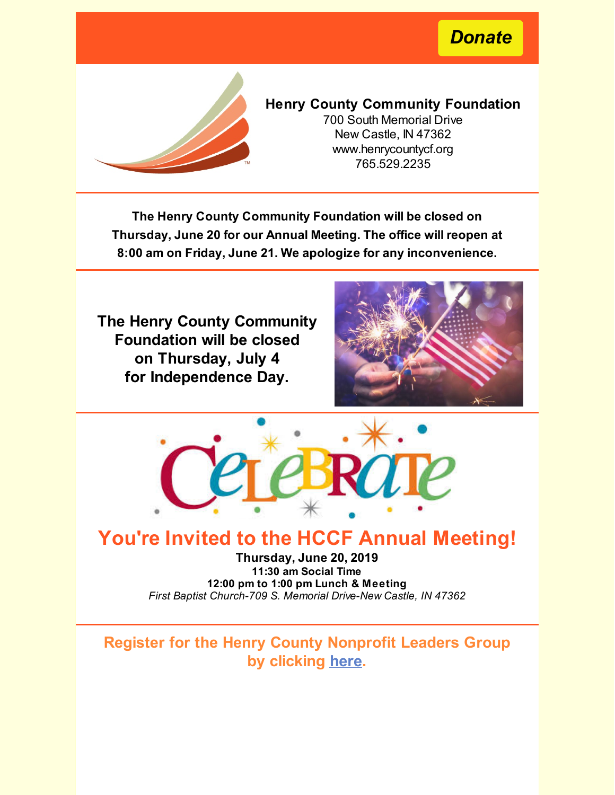*[Donate](https://www.henrycountycf.org/giving/donate-online/)*



## **Henry County Community Foundation**

700 South Memorial Drive New Castle, IN 47362 www.henrycountycf.org 765.529.2235

**The Henry County Community Foundation will be closed on Thursday, June 20 for our Annual Meeting. The office will reopen at 8:00 am on Friday, June 21. We apologize for any inconvenience.**

**The Henry County Community Foundation will be closed on Thursday, July 4 for Independence Day.**





# **You're Invited to the HCCF Annual Meeting!**

**Thursday, June 20, 2019 11:30 am Social Time 12:00 pm to 1:00 pm Lunch & Meeting** *First Baptist Church-709 S. Memorial Drive-New Castle, IN 47362*

**Register for the Henry County Nonprofit Leaders Group by clicking [here](https://www.shaferleadership.com/about-shafer-leadership-academy/henrycountynonprofitexecutives/?fbclid=IwAR1ya0RiZ6xPbUCMtAEcFRVNT_plb2qBt7rJysjDmg4I6iPp7YneyeDIN5Y).**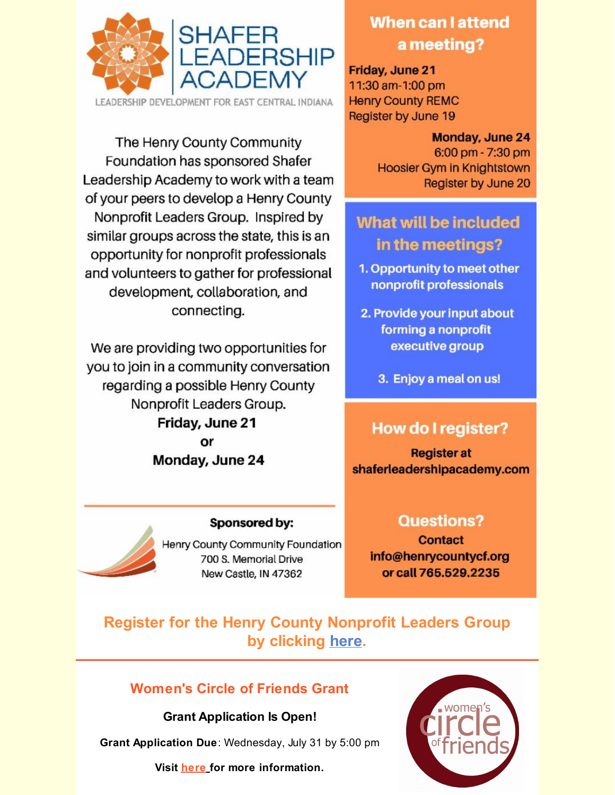

The Henry County Community Foundation has sponsored Shafer Leadership Academy to work with a team of your peers to develop a Henry County Nonprofit Leaders Group. Inspired by similar groups across the state, this is an opportunity for nonprofit professionals and volunteers to gather for professional development, collaboration, and connecting.

We are providing two opportunities for you to join in a community conversation regarding a possible Henry County Nonprofit Leaders Group. Friday, June 21 or Monday, June 24

## Sponsored by:

Henry County Community Foundation 700 S. Memorial Drive New Castle, IN 47362

# When can I attend a meeting?

Friday, June 21 11:30 am-1:00 pm **Henry County REMC** Register by June 19

## Monday, June 24  $6:00$  pm - 7:30 pm Hoosier Gym in Knightstown Register by June 20

# What will be included in the meetings?

- 1. Opportunity to meet other nonprofit professionals
- 2. Provide your input about forming a nonprofit executive group
	- 3. Enjoy a meal on us!

# **How do I register?**

**Register at** shaferleadershipacademy.com

## **Questions?**

**Contact** info@henrycountycf.org or call 765.529,2235

# **Register for the Henry County Nonprofit Leaders Group by clicking [here](https://www.shaferleadership.com/about-shafer-leadership-academy/henrycountynonprofitexecutives/?fbclid=IwAR1ya0RiZ6xPbUCMtAEcFRVNT_plb2qBt7rJysjDmg4I6iPp7YneyeDIN5Y).**

## **Women's Circle of Friends Grant**

**Grant Application Is Open!**

**Grant Application Due**: Wednesday, July 31 by 5:00 pm

**Visit [here](https://www.henrycountycf.org/grants/womens-circle-of-friends-grants/) for more information.**

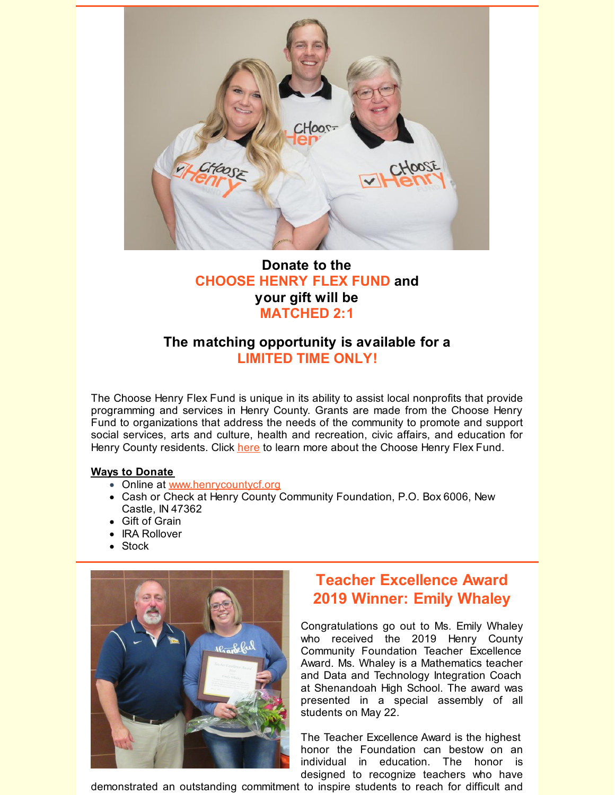

## **Donate to the CHOOSE HENRY FLEX FUND and your gift will be MATCHED 2:1**

## **The matching opportunity is available for a LIMITED TIME ONLY!**

The Choose Henry Flex Fund is unique in its ability to assist local nonprofits that provide programming and services in Henry County. Grants are made from the Choose Henry Fund to organizations that address the needs of the community to promote and support social services, arts and culture, health and recreation, civic affairs, and education for Henry County residents. Click [here](https://www.henrycountycf.org/) to learn more about the Choose Henry Flex Fund.

#### **Ways to Donate**

- Online at [www.henrycountycf.org](https://www.henrycountycf.org/giving/donate-online/)
- Cash or Check at Henry County Community Foundation, P.O. Box 6006, New Castle, IN 47362
- Gift of Grain
- IRA Rollover
- Stock



# **Teacher Excellence Award 2019 Winner: Emily Whaley**

Congratulations go out to Ms. Emily Whaley who received the 2019 Henry County Community Foundation Teacher Excellence Award. Ms. Whaley is a Mathematics teacher and Data and Technology Integration Coach at Shenandoah High School. The award was presented in a special assembly of all students on May 22.

The Teacher Excellence Award is the highest honor the Foundation can bestow on an individual in education. The honor is designed to recognize teachers who have

demonstrated an outstanding commitment to inspire students to reach for difficult and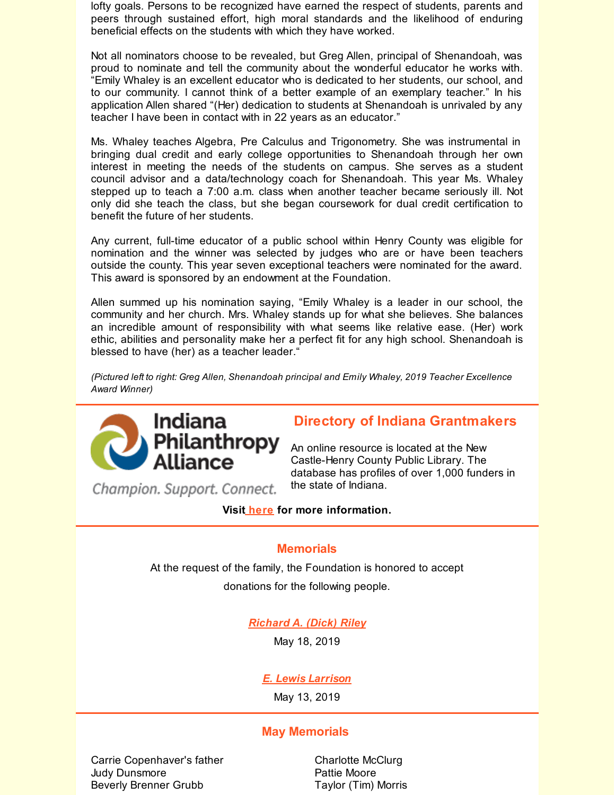lofty goals. Persons to be recognized have earned the respect of students, parents and peers through sustained effort, high moral standards and the likelihood of enduring beneficial effects on the students with which they have worked.

Not all nominators choose to be revealed, but Greg Allen, principal of Shenandoah, was proud to nominate and tell the community about the wonderful educator he works with. "Emily Whaley is an excellent educator who is dedicated to her students, our school, and to our community. I cannot think of a better example of an exemplary teacher." In his application Allen shared "(Her) dedication to students at Shenandoah is unrivaled by any teacher I have been in contact with in 22 years as an educator."

Ms. Whaley teaches Algebra, Pre Calculus and Trigonometry. She was instrumental in bringing dual credit and early college opportunities to Shenandoah through her own interest in meeting the needs of the students on campus. She serves as a student council advisor and a data/technology coach for Shenandoah. This year Ms. Whaley stepped up to teach a 7:00 a.m. class when another teacher became seriously ill. Not only did she teach the class, but she began coursework for dual credit certification to benefit the future of her students.

Any current, full-time educator of a public school within Henry County was eligible for nomination and the winner was selected by judges who are or have been teachers outside the county. This year seven exceptional teachers were nominated for the award. This award is sponsored by an endowment at the Foundation.

Allen summed up his nomination saying, "Emily Whaley is a leader in our school, the community and her church. Mrs. Whaley stands up for what she believes. She balances an incredible amount of responsibility with what seems like relative ease. (Her) work ethic, abilities and personality make her a perfect fit for any high school. Shenandoah is blessed to have (her) as a teacher leader."

*(Pictured left to right: Greg Allen, Shenandoah principal and Emily Whaley, 2019 Teacher Excellence Award Winner)*



## **Directory of Indiana Grantmakers**

An online resource is located at the New Castle-Henry County Public Library. The database has profiles of over 1,000 funders in the state of Indiana.

Champion. Support. Connect.

**Visit [here](http://www.henrycountycf.org/directory-of-indiana-grantmakers-available/) for more information.**

#### **Memorials**

At the request of the family, the Foundation is honored to accept

donations for the following people.

## *[Richard](https://www.henrycountycf.org/richard-a-dick-riley/) A. (Dick) Riley*

May 18, [2019](https://www.henrycountycf.org/richard-a-dick-riley/)

## *E. Lewis [Larrison](https://www.henrycountycf.org/e-lewis-larrison/)*

May 13, 2019

## **May Memorials**

Carrie Copenhaver's father Judy Dunsmore Beverly Brenner Grubb

Charlotte McClurg Pattie Moore Taylor (Tim) Morris